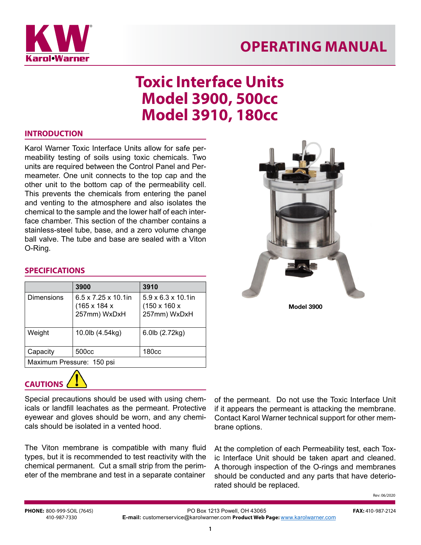

## **OPERATING MANUAL**

# **Toxic Interface Units Model 3900, 500cc Model 3910, 180cc**

#### **INTRODUCTION**

Karol Warner Toxic Interface Units allow for safe permeability testing of soils using toxic chemicals. Two units are required between the Control Panel and Permeameter. One unit connects to the top cap and the other unit to the bottom cap of the permeability cell. This prevents the chemicals from entering the panel and venting to the atmosphere and also isolates the chemical to the sample and the lower half of each interface chamber. This section of the chamber contains a stainless-steel tube, base, and a zero volume change ball valve. The tube and base are sealed with a Viton O-Ring.



#### **SPECIFICATIONS**

|                           | 3900                                                             | 3910                                                                        |
|---------------------------|------------------------------------------------------------------|-----------------------------------------------------------------------------|
| Dimensions                | $6.5 \times 7.25 \times 10.1$ in<br>(165 x 184 x<br>257mm) WxDxH | $5.9 \times 6.3 \times 10.1$ in<br>$(150 \times 160 \times$<br>257mm) WxDxH |
| Weight                    | 10.0lb (4.54kg)                                                  | 6.0lb (2.72kg)                                                              |
| Capacity                  | 500 <sub>cc</sub>                                                | 180 <sub>cc</sub>                                                           |
| Maximum Pressure: 150 psi |                                                                  |                                                                             |



Special precautions should be used with using chemicals or landfill leachates as the permeant. Protective eyewear and gloves should be worn, and any chemicals should be isolated in a vented hood.

The Viton membrane is compatible with many fluid types, but it is recommended to test reactivity with the chemical permanent. Cut a small strip from the perimeter of the membrane and test in a separate container

of the permeant. Do not use the Toxic Interface Unit if it appears the permeant is attacking the membrane. Contact Karol Warner technical support for other membrane options.

At the completion of each Permeability test, each Toxic Interface Unit should be taken apart and cleaned. A thorough inspection of the O-rings and membranes should be conducted and any parts that have deteriorated should be replaced.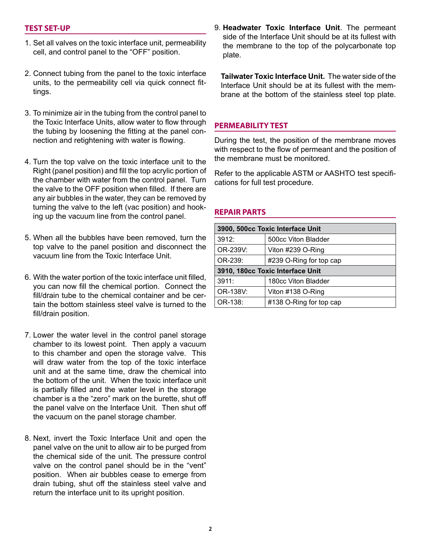#### **TEST SET-UP**

- 1. Set all valves on the toxic interface unit, permeability cell, and control panel to the "OFF" position.
- 2. Connect tubing from the panel to the toxic interface units, to the permeability cell via quick connect fittings.
- 3. To minimize air in the tubing from the control panel to the Toxic Interface Units, allow water to flow through the tubing by loosening the fitting at the panel connection and retightening with water is flowing.
- 4. Turn the top valve on the toxic interface unit to the Right (panel position) and fill the top acrylic portion of the chamber with water from the control panel. Turn the valve to the OFF position when filled. If there are any air bubbles in the water, they can be removed by turning the valve to the left (vac position) and hooking up the vacuum line from the control panel.
- 5. When all the bubbles have been removed, turn the top valve to the panel position and disconnect the vacuum line from the Toxic Interface Unit.
- 6. With the water portion of the toxic interface unit filled, you can now fill the chemical portion. Connect the fill/drain tube to the chemical container and be certain the bottom stainless steel valve is turned to the fill/drain position.
- 7. Lower the water level in the control panel storage chamber to its lowest point. Then apply a vacuum to this chamber and open the storage valve. This will draw water from the top of the toxic interface unit and at the same time, draw the chemical into the bottom of the unit. When the toxic interface unit is partially filled and the water level in the storage chamber is a the "zero" mark on the burette, shut off the panel valve on the Interface Unit. Then shut off the vacuum on the panel storage chamber.
- 8. Next, invert the Toxic Interface Unit and open the panel valve on the unit to allow air to be purged from the chemical side of the unit. The pressure control valve on the control panel should be in the "vent" position. When air bubbles cease to emerge from drain tubing, shut off the stainless steel valve and return the interface unit to its upright position.

9. **Headwater Toxic Interface Unit**. The permeant side of the Interface Unit should be at its fullest with the membrane to the top of the polycarbonate top plate.

 **Tailwater Toxic Interface Unit.** The water side of the Interface Unit should be at its fullest with the membrane at the bottom of the stainless steel top plate.

#### **PERMEABILITY TEST**

During the test, the position of the membrane moves with respect to the flow of permeant and the position of the membrane must be monitored.

Refer to the applicable ASTM or AASHTO test specifications for full test procedure.

#### **REPAIR PARTS**

| 3900, 500cc Toxic Interface Unit |                         |  |
|----------------------------------|-------------------------|--|
| 3912:                            | 500cc Viton Bladder     |  |
| OR-239V:                         | Viton #239 O-Ring       |  |
| OR-239:                          | #239 O-Ring for top cap |  |
| 3910, 180cc Toxic Interface Unit |                         |  |
| 3911:                            | 180cc Viton Bladder     |  |
| OR-138V:                         | Viton #138 O-Ring       |  |
| OR-138:                          | #138 O-Ring for top cap |  |